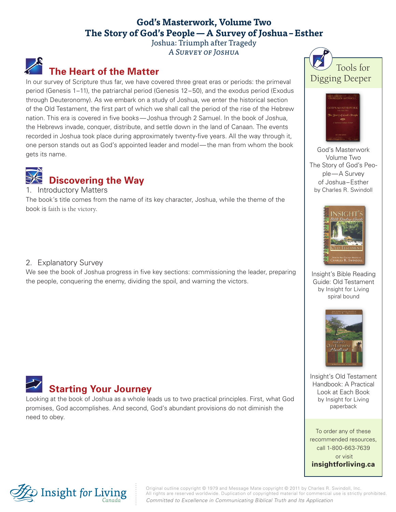### **God's Masterwork, Volume Two The Story of God's People—A Survey of Joshua–Esther**

Joshua: Triumph after Tragedy A Survey of Joshua

# **The Heart of the Matter**

In our survey of Scripture thus far, we have covered three great eras or periods: the primeval period (Genesis 1–11), the patriarchal period (Genesis 12–50), and the exodus period (Exodus through Deuteronomy). As we embark on a study of Joshua, we enter the historical section of the Old Testament, the first part of which we shall call the period of the rise of the Hebrew nation. This era is covered in five books—Joshua through 2 Samuel. In the book of Joshua, the Hebrews invade, conquer, distribute, and settle down in the land of Canaan. The events recorded in Joshua took place during approximately twenty-five years. All the way through it, one person stands out as God's appointed leader and model—the man from whom the book gets its name.



1. Introductory Matters

The book's title comes from the name of its key character, Joshua, while the theme of the book is faith is the victory.

#### 2. Explanatory Survey

We see the book of Joshua progress in five key sections: commissioning the leader, preparing the people, conquering the enemy, dividing the spoil, and warning the victors.



Looking at the book of Joshua as a whole leads us to two practical principles. First, what God promises, God accomplishes. And second, God's abundant provisions do not diminish the need to obey.





God's Masterwork Volume Two The Story of God's People—A Survey of Joshua–Esther by Charles R. Swindoll



Insight's Bible Reading Guide: Old Testament by Insight for Living spiral bound



Insight's Old Testament Handbook: A Practical Look at Each Book by Insight for Living paperback

To order any of these recommended resources, call 1-800-663-7639 or visit **insightforliving.ca**



Original outline copyright © 1979 and Message Mate copyright © 2011 by Charles R. Swindoll, Inc. All rights are reserved worldwide. Duplication of copyrighted material for commercial use is strictly prohibited. *Committed to Excellence in Communicating Biblical Truth and Its Application*